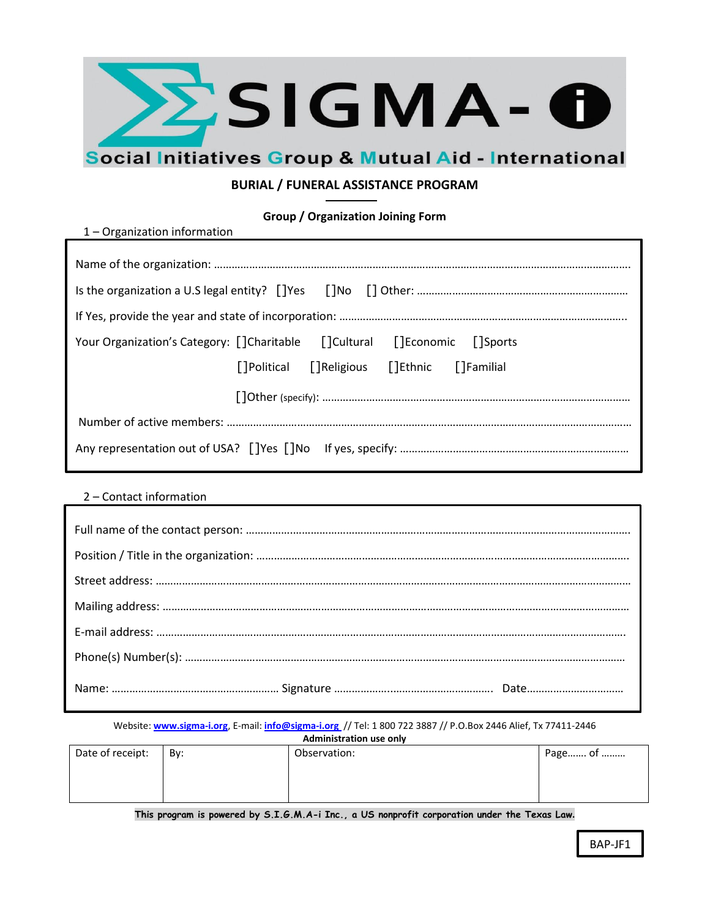

**BURIAL / FUNERAL ASSISTANCE PROGRAM**

## **Group / Organization Joining Form**

| 1 – Organization information                                                |  |  |  |  |
|-----------------------------------------------------------------------------|--|--|--|--|
|                                                                             |  |  |  |  |
|                                                                             |  |  |  |  |
|                                                                             |  |  |  |  |
|                                                                             |  |  |  |  |
| Your Organization's Category: []Charitable []Cultural [] Economic [] Sports |  |  |  |  |
| []Political []Religious []Ethnic []Familial                                 |  |  |  |  |
|                                                                             |  |  |  |  |
|                                                                             |  |  |  |  |
|                                                                             |  |  |  |  |

2 – Contact information

Website: **[www.sigma-i.org](http://www.sigma-i.org/)**, E-mail: **[info@sigma-i.org](mailto:info@sigma-i.org)** // Tel: 1 800 722 3887 // P.O.Box 2446 Alief, Tx 77411-2446 **Administration use only**

| Administration ase only |     |              |         |  |
|-------------------------|-----|--------------|---------|--|
| Date of receipt:        | By: | Observation: | Page of |  |
|                         |     |              |         |  |
|                         |     |              |         |  |
|                         |     |              |         |  |
|                         |     |              |         |  |

**This program is powered by S.I.G.M.A-i Inc., a US nonprofit corporation under the Texas Law.**